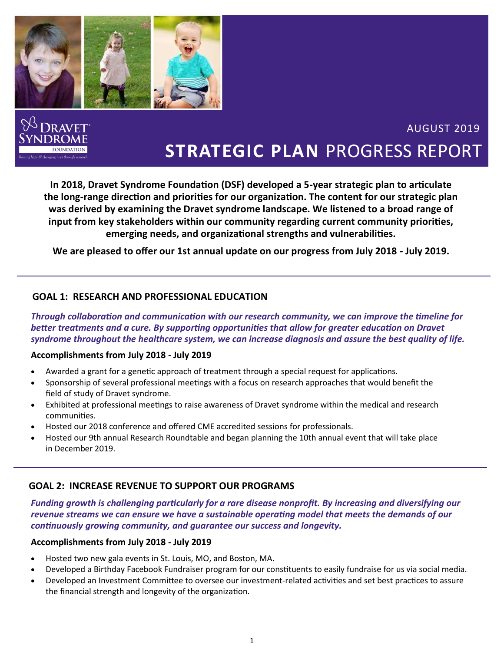



## AUGUST 2019 **STRATEGIC PLAN** PROGRESS REPORT

**In 2018, Dravet Syndrome Foundation (DSF) developed a 5-year strategic plan to articulate the long‐range direction and priorities for our organization. The content for our strategic plan was derived by examining the Dravet syndrome landscape. We listened to a broad range of input from key stakeholders within our community regarding current community priorities, emerging needs, and organizational strengths and vulnerabilities.** 

**We are pleased to offer our 1st annual update on our progress from July 2018 - July 2019.**

#### **GOAL 1: RESEARCH AND PROFESSIONAL EDUCATION**

*Through collaboration and communication with our research community, we can improve the timeline for better treatments and a cure. By supporting opportunities that allow for greater education on Dravet syndrome throughout the healthcare system, we can increase diagnosis and assure the best quality of life.*

#### **Accomplishments from July 2018 - July 2019**

- Awarded a grant for a genetic approach of treatment through a special request for applications.
- Sponsorship of several professional meetings with a focus on research approaches that would benefit the field of study of Dravet syndrome.
- Exhibited at professional meetings to raise awareness of Dravet syndrome within the medical and research communities.
- Hosted our 2018 conference and offered CME accredited sessions for professionals.
- Hosted our 9th annual Research Roundtable and began planning the 10th annual event that will take place in December 2019.

#### **GOAL 2: INCREASE REVENUE TO SUPPORT OUR PROGRAMS**

*Funding growth is challenging particularly for a rare disease nonprofit. By increasing and diversifying our revenue streams we can ensure we have a sustainable operating model that meets the demands of our continuously growing community, and guarantee our success and longevity.*

#### **Accomplishments from July 2018 - July 2019**

- Hosted two new gala events in St. Louis, MO, and Boston, MA.
- Developed a Birthday Facebook Fundraiser program for our constituents to easily fundraise for us via social media.
- Developed an Investment Committee to oversee our investment-related activities and set best practices to assure the financial strength and longevity of the organization.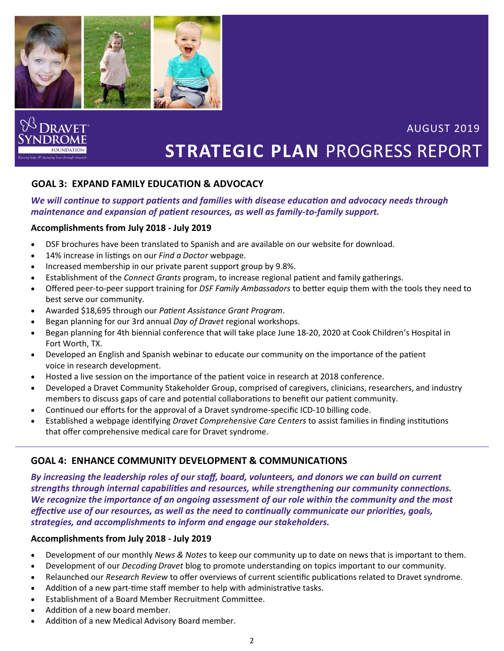

#### AUGUST 2019

# **STRATEGIC PLAN** PROGRESS REPORT

#### **GOAL 3: EXPAND FAMILY EDUCATION & ADVOCACY**

#### *We will continue to support patients and families with disease education and advocacy needs through maintenance and expansion of patient resources, as well as family-to-family support.*

#### **Accomplishments from July 2018 - July 2019**

- DSF brochures have been translated to Spanish and are available on our website for download.
- 14% increase in listings on our *Find a Doctor* webpage.
- Increased membership in our private parent support group by 9.8%.
- Establishment of the *Connect Grants* program, to increase regional patient and family gatherings.
- Offered peer-to-peer support training for *DSF Family Ambassadors* to better equip them with the tools they need to best serve our community.
- Awarded \$18,695 through our *Patient Assistance Grant Program*.
- Began planning for our 3rd annual *Day of Dravet* regional workshops.
- Began planning for 4th biennial conference that will take place June 18-20, 2020 at Cook Children's Hospital in Fort Worth, TX.
- Developed an English and Spanish webinar to educate our community on the importance of the patient voice in research development.
- Hosted a live session on the importance of the patient voice in research at 2018 conference.
- Developed a Dravet Community Stakeholder Group, comprised of caregivers, clinicians, researchers, and industry members to discuss gaps of care and potential collaborations to benefit our patient community.
- Continued our efforts for the approval of a Dravet syndrome-specific ICD-10 billing code.
- Established a webpage identifying *Dravet Comprehensive Care Centers* to assist families in finding institutions that offer comprehensive medical care for Dravet syndrome.

#### **GOAL 4: ENHANCE COMMUNITY DEVELOPMENT & COMMUNICATIONS**

*By increasing the leadership roles of our staff, board, volunteers, and donors we can build on current strengths through internal capabilities and resources, while strengthening our community connections. We recognize the importance of an ongoing assessment of our role within the community and the most effective use of our resources, as well as the need to continually communicate our priorities, goals, strategies, and accomplishments to inform and engage our stakeholders.*

#### **Accomplishments from July 2018 - July 2019**

- Development of our monthly *News & Notes* to keep our community up to date on news that is important to them.
- Development of our *Decoding Dravet* blog to promote understanding on topics important to our community.
- Relaunched our *Research Review* to offer overviews of current scientific publications related to Dravet syndrome.
- Addition of a new part-time staff member to help with administrative tasks.
- Establishment of a Board Member Recruitment Committee.
- Addition of a new board member.
- Addition of a new Medical Advisory Board member.